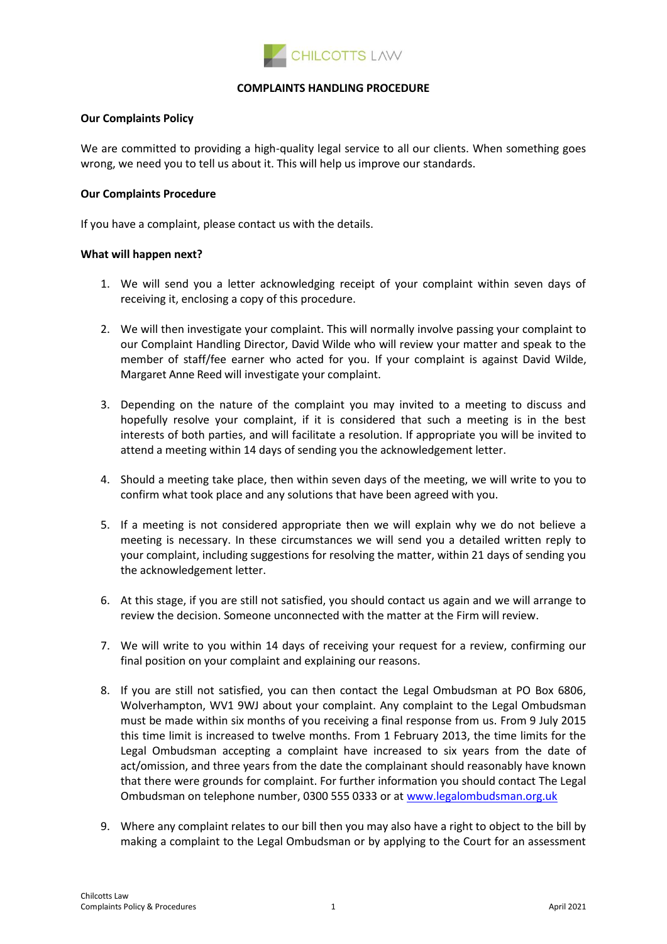

## **COMPLAINTS HANDLING PROCEDURE**

## **Our Complaints Policy**

We are committed to providing a high-quality legal service to all our clients. When something goes wrong, we need you to tell us about it. This will help us improve our standards.

## **Our Complaints Procedure**

If you have a complaint, please contact us with the details.

## **What will happen next?**

- 1. We will send you a letter acknowledging receipt of your complaint within seven days of receiving it, enclosing a copy of this procedure.
- 2. We will then investigate your complaint. This will normally involve passing your complaint to our Complaint Handling Director, David Wilde who will review your matter and speak to the member of staff/fee earner who acted for you. If your complaint is against David Wilde, Margaret Anne Reed will investigate your complaint.
- 3. Depending on the nature of the complaint you may invited to a meeting to discuss and hopefully resolve your complaint, if it is considered that such a meeting is in the best interests of both parties, and will facilitate a resolution. If appropriate you will be invited to attend a meeting within 14 days of sending you the acknowledgement letter.
- 4. Should a meeting take place, then within seven days of the meeting, we will write to you to confirm what took place and any solutions that have been agreed with you.
- 5. If a meeting is not considered appropriate then we will explain why we do not believe a meeting is necessary. In these circumstances we will send you a detailed written reply to your complaint, including suggestions for resolving the matter, within 21 days of sending you the acknowledgement letter.
- 6. At this stage, if you are still not satisfied, you should contact us again and we will arrange to review the decision. Someone unconnected with the matter at the Firm will review.
- 7. We will write to you within 14 days of receiving your request for a review, confirming our final position on your complaint and explaining our reasons.
- 8. If you are still not satisfied, you can then contact the Legal Ombudsman at PO Box 6806, Wolverhampton, WV1 9WJ about your complaint. Any complaint to the Legal Ombudsman must be made within six months of you receiving a final response from us. From 9 July 2015 this time limit is increased to twelve months. From 1 February 2013, the time limits for the Legal Ombudsman accepting a complaint have increased to six years from the date of act/omission, and three years from the date the complainant should reasonably have known that there were grounds for complaint. For further information you should contact The Legal Ombudsman on telephone number, 0300 555 0333 or at [www.legalombudsman.org.uk](http://www.legalombudsman.org.uk/)
- 9. Where any complaint relates to our bill then you may also have a right to object to the bill by making a complaint to the Legal Ombudsman or by applying to the Court for an assessment